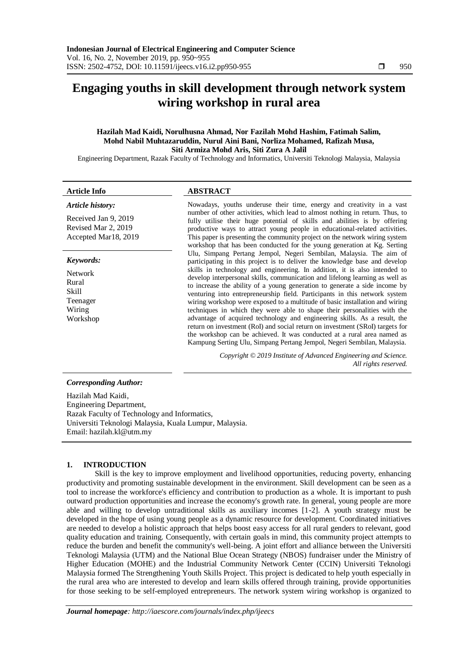# **Engaging youths in skill development through network system wiring workshop in rural area**

# **Hazilah Mad Kaidi, Norulhusna Ahmad, Nor Fazilah Mohd Hashim, Fatimah Salim, Mohd Nabil Muhtazaruddin, Nurul Aini Bani, Norliza Mohamed, Rafizah Musa, Siti Armiza Mohd Aris, Siti Zura A Jalil**

Engineering Department, Razak Faculty of Technology and Informatics, Universiti Teknologi Malaysia, Malaysia

#### **Article Info ABSTRACT**

#### *Article history:*

Received Jan 9, 2019 Revised Mar 2, 2019 Accepted Mar18, 2019

#### *Keywords:*

Network Rural Skill Teenager Wiring Workshop

Nowadays, youths underuse their time, energy and creativity in a vast number of other activities, which lead to almost nothing in return. Thus, to fully utilise their huge potential of skills and abilities is by offering productive ways to attract young people in educational-related activities. This paper is presenting the community project on the network wiring system workshop that has been conducted for the young generation at Kg. Serting Ulu, Simpang Pertang Jempol, Negeri Sembilan, Malaysia. The aim of participating in this project is to deliver the knowledge base and develop skills in technology and engineering. In addition, it is also intended to develop interpersonal skills, communication and lifelong learning as well as to increase the ability of a young generation to generate a side income by venturing into entrepreneurship field. Participants in this network system wiring workshop were exposed to a multitude of basic installation and wiring techniques in which they were able to shape their personalities with the advantage of acquired technology and engineering skills. As a result, the return on investment (RoI) and social return on investment (SRoI) targets for the workshop can be achieved. It was conducted at a rural area named as Kampung Serting Ulu, Simpang Pertang Jempol, Negeri Sembilan, Malaysia.

> *Copyright © 2019 Institute of Advanced Engineering and Science. All rights reserved.*

# Hazilah Mad Kaidi, Engineering Department, Razak Faculty of Technology and Informatics, Universiti Teknologi Malaysia, Kuala Lumpur, Malaysia. Email: hazilah.kl@utm.my

# **1. INTRODUCTION**

*Corresponding Author:*

Skill is the key to improve employment and livelihood opportunities, reducing poverty, enhancing productivity and promoting sustainable development in the environment. Skill development can be seen as a tool to increase the workforce's efficiency and contribution to production as a whole. It is important to push outward production opportunities and increase the economy's growth rate. In general, young people are more able and willing to develop untraditional skills as auxiliary incomes [1-2]. A youth strategy must be developed in the hope of using young people as a dynamic resource for development. Coordinated initiatives are needed to develop a holistic approach that helps boost easy access for all rural genders to relevant, good quality education and training. Consequently, with certain goals in mind, this community project attempts to reduce the burden and benefit the community's well-being. A joint effort and alliance between the Universiti Teknologi Malaysia (UTM) and the National Blue Ocean Strategy (NBOS) fundraiser under the Ministry of Higher Education (MOHE) and the Industrial Community Network Center (CCIN) Universiti Teknologi Malaysia formed The Strengthening Youth Skills Project. This project is dedicated to help youth especially in the rural area who are interested to develop and learn skills offered through training, provide opportunities for those seeking to be self-employed entrepreneurs. The network system wiring workshop is organized to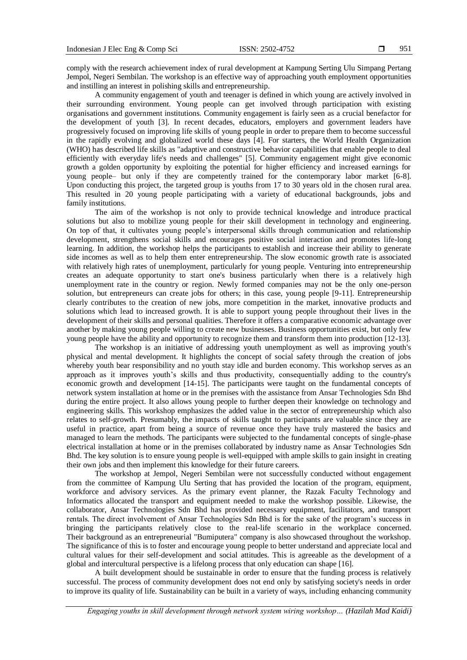comply with the research achievement index of rural development at Kampung Serting Ulu Simpang Pertang Jempol, Negeri Sembilan. The workshop is an effective way of approaching youth employment opportunities and instilling an interest in polishing skills and entrepreneurship.

A community engagement of youth and teenager is defined in which young are actively involved in their surrounding environment. Young people can get involved through participation with existing organisations and government institutions. Community engagement is fairly seen as a crucial benefactor for the development of youth [3]. In recent decades, educators, employers and government leaders have progressively focused on improving life skills of young people in order to prepare them to become successful in the rapidly evolving and globalized world these days [4]. For starters, the World Health Organization (WHO) has described life skills as "adaptive and constructive behavior capabilities that enable people to deal efficiently with everyday life's needs and challenges" [5]. Community engagement might give economic growth a golden opportunity by exploiting the potential for higher efficiency and increased earnings for young people– but only if they are competently trained for the contemporary labor market [6-8]. Upon conducting this project, the targeted group is youths from 17 to 30 years old in the chosen rural area. This resulted in 20 young people participating with a variety of educational backgrounds, jobs and family institutions.

The aim of the workshop is not only to provide technical knowledge and introduce practical solutions but also to mobilize young people for their skill development in technology and engineering. On top of that, it cultivates young people's interpersonal skills through communication and relationship development, strengthens social skills and encourages positive social interaction and promotes life-long learning. In addition, the workshop helps the participants to establish and increase their ability to generate side incomes as well as to help them enter entrepreneurship. The slow economic growth rate is associated with relatively high rates of unemployment, particularly for young people. Venturing into entrepreneurship creates an adequate opportunity to start one's business particularly when there is a relatively high unemployment rate in the country or region. Newly formed companies may not be the only one-person solution, but entrepreneurs can create jobs for others; in this case, young people [9-11]. Entrepreneurship clearly contributes to the creation of new jobs, more competition in the market, innovative products and solutions which lead to increased growth. It is able to support young people throughout their lives in the development of their skills and personal qualities. Therefore it offers a comparative economic advantage over another by making young people willing to create new businesses. Business opportunities exist, but only few young people have the ability and opportunity to recognize them and transform them into production [12-13].

The workshop is an initiative of addressing youth unemployment as well as improving youth's physical and mental development. It highlights the concept of social safety through the creation of jobs whereby youth bear responsibility and no youth stay idle and burden economy. This workshop serves as an approach as it improves youth's skills and thus productivity, consequentially adding to the country's economic growth and development [14-15]. The participants were taught on the fundamental concepts of network system installation at home or in the premises with the assistance from Ansar Technologies Sdn Bhd during the entire project. It also allows young people to further deepen their knowledge on technology and engineering skills. This workshop emphasizes the added value in the sector of entrepreneurship which also relates to self-growth. Presumably, the impacts of skills taught to participants are valuable since they are useful in practice, apart from being a source of revenue once they have truly mastered the basics and managed to learn the methods. The participants were subjected to the fundamental concepts of single-phase electrical installation at home or in the premises collaborated by industry name as Ansar Technologies Sdn Bhd. The key solution is to ensure young people is well-equipped with ample skills to gain insight in creating their own jobs and then implement this knowledge for their future careers.

The workshop at Jempol, Negeri Sembilan were not successfully conducted without engagement from the committee of Kampung Ulu Serting that has provided the location of the program, equipment, workforce and advisory services. As the primary event planner, the Razak Faculty Technology and Informatics allocated the transport and equipment needed to make the workshop possible. Likewise, the collaborator, Ansar Technologies Sdn Bhd has provided necessary equipment, facilitators, and transport rentals. The direct involvement of Ansar Technologies Sdn Bhd is for the sake of the program's success in bringing the participants relatively close to the real-life scenario in the workplace concerned. Their background as an entrepreneurial "Bumiputera" company is also showcased throughout the workshop. The significance of this is to foster and encourage young people to better understand and appreciate local and cultural values for their self-development and social attitudes. This is agreeable as the development of a global and intercultural perspective is a lifelong process that only education can shape [16].

A built development should be sustainable in order to ensure that the funding process is relatively successful. The process of community development does not end only by satisfying society's needs in order to improve its quality of life. Sustainability can be built in a variety of ways, including enhancing community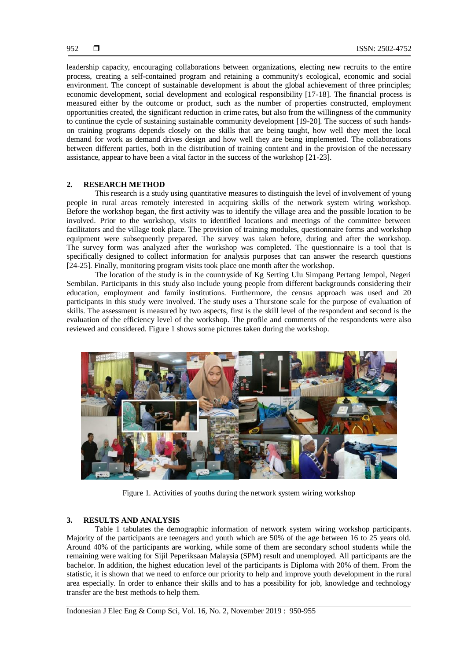leadership capacity, encouraging collaborations between organizations, electing new recruits to the entire process, creating a self-contained program and retaining a community's ecological, economic and social environment. The concept of sustainable development is about the global achievement of three principles; economic development, social development and ecological responsibility [17-18]. The financial process is measured either by the outcome or product, such as the number of properties constructed, employment opportunities created, the significant reduction in crime rates, but also from the willingness of the community to continue the cycle of sustaining sustainable community development [19-20]. The success of such handson training programs depends closely on the skills that are being taught, how well they meet the local demand for work as demand drives design and how well they are being implemented. The collaborations between different parties, both in the distribution of training content and in the provision of the necessary assistance, appear to have been a vital factor in the success of the workshop [21-23].

# **2. RESEARCH METHOD**

This research is a study using quantitative measures to distinguish the level of involvement of young people in rural areas remotely interested in acquiring skills of the network system wiring workshop. Before the workshop began, the first activity was to identify the village area and the possible location to be involved. Prior to the workshop, visits to identified locations and meetings of the committee between facilitators and the village took place. The provision of training modules, questionnaire forms and workshop equipment were subsequently prepared. The survey was taken before, during and after the workshop. The survey form was analyzed after the workshop was completed. The questionnaire is a tool that is specifically designed to collect information for analysis purposes that can answer the research questions [24-25]. Finally, monitoring program visits took place one month after the workshop.

The location of the study is in the countryside of Kg Serting Ulu Simpang Pertang Jempol, Negeri Sembilan. Participants in this study also include young people from different backgrounds considering their education, employment and family institutions. Furthermore, the census approach was used and 20 participants in this study were involved. The study uses a Thurstone scale for the purpose of evaluation of skills. The assessment is measured by two aspects, first is the skill level of the respondent and second is the evaluation of the efficiency level of the workshop. The profile and comments of the respondents were also reviewed and considered. Figure 1 shows some pictures taken during the workshop.



Figure 1. Activities of youths during the network system wiring workshop

# **3. RESULTS AND ANALYSIS**

Table 1 tabulates the demographic information of network system wiring workshop participants. Majority of the participants are teenagers and youth which are 50% of the age between 16 to 25 years old. Around 40% of the participants are working, while some of them are secondary school students while the remaining were waiting for Sijil Peperiksaan Malaysia (SPM) result and unemployed. All participants are the bachelor. In addition, the highest education level of the participants is Diploma with 20% of them. From the statistic, it is shown that we need to enforce our priority to help and improve youth development in the rural area especially. In order to enhance their skills and to has a possibility for job, knowledge and technology transfer are the best methods to help them.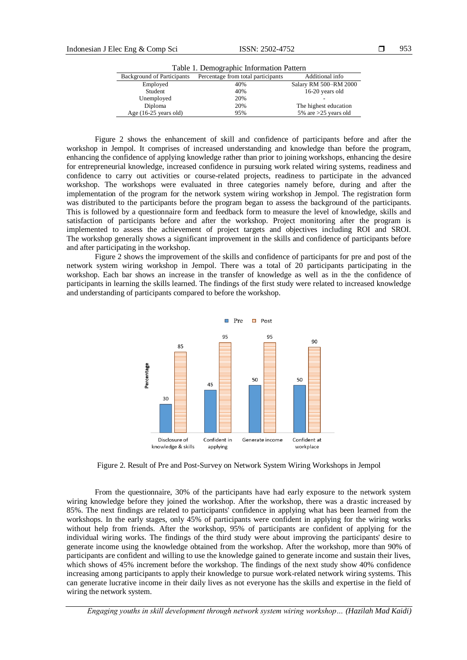| Table 1. Demographic miormation rattern |                                    |                        |
|-----------------------------------------|------------------------------------|------------------------|
| <b>Background of Participants</b>       | Percentage from total participants | Additional info        |
| Employed                                | 40%                                | Salary RM 500-RM 2000  |
| Student                                 | 40%                                | 16-20 years old        |
| Unemployed                              | 20%                                |                        |
| Diploma                                 | 20%                                | The highest education  |
| Age $(16-25 \text{ years old})$         | 95%                                | 5% are $>25$ years old |

Table 1. Demographic Information Pattern

Figure 2 shows the enhancement of skill and confidence of participants before and after the workshop in Jempol. It comprises of increased understanding and knowledge than before the program, enhancing the confidence of applying knowledge rather than prior to joining workshops, enhancing the desire for entrepreneurial knowledge, increased confidence in pursuing work related wiring systems, readiness and confidence to carry out activities or course-related projects, readiness to participate in the advanced workshop. The workshops were evaluated in three categories namely before, during and after the implementation of the program for the network system wiring workshop in Jempol. The registration form was distributed to the participants before the program began to assess the background of the participants. This is followed by a questionnaire form and feedback form to measure the level of knowledge, skills and satisfaction of participants before and after the workshop. Project monitoring after the program is implemented to assess the achievement of project targets and objectives including ROI and SROI. The workshop generally shows a significant improvement in the skills and confidence of participants before and after participating in the workshop.

Figure 2 shows the improvement of the skills and confidence of participants for pre and post of the network system wiring workshop in Jempol. There was a total of 20 participants participating in the workshop. Each bar shows an increase in the transfer of knowledge as well as in the the confidence of participants in learning the skills learned. The findings of the first study were related to increased knowledge and understanding of participants compared to before the workshop.



Figure 2. Result of Pre and Post-Survey on Network System Wiring Workshops in Jempol

From the questionnaire, 30% of the participants have had early exposure to the network system wiring knowledge before they joined the workshop. After the workshop, there was a drastic increased by 85%. The next findings are related to participants' confidence in applying what has been learned from the workshops. In the early stages, only 45% of participants were confident in applying for the wiring works without help from friends. After the workshop, 95% of participants are confident of applying for the individual wiring works. The findings of the third study were about improving the participants' desire to generate income using the knowledge obtained from the workshop. After the workshop, more than 90% of participants are confident and willing to use the knowledge gained to generate income and sustain their lives, which shows of 45% increment before the workshop. The findings of the next study show 40% confidence increasing among participants to apply their knowledge to pursue work-related network wiring systems. This can generate lucrative income in their daily lives as not everyone has the skills and expertise in the field of wiring the network system.

*Engaging youths in skill development through network system wiring workshop… (Hazilah Mad Kaidi)*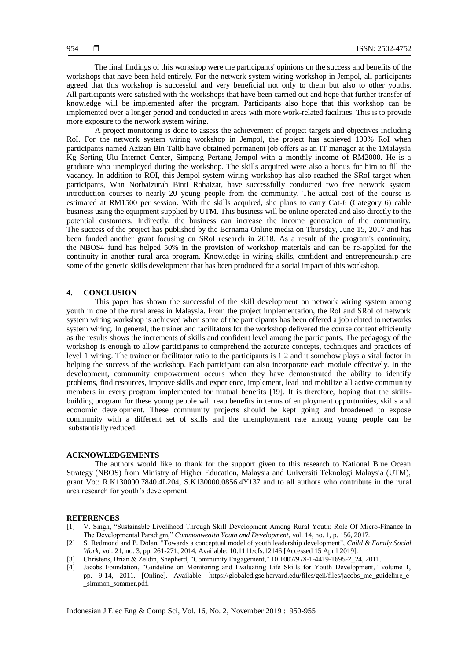The final findings of this workshop were the participants' opinions on the success and benefits of the workshops that have been held entirely. For the network system wiring workshop in Jempol, all participants agreed that this workshop is successful and very beneficial not only to them but also to other youths. All participants were satisfied with the workshops that have been carried out and hope that further transfer of knowledge will be implemented after the program. Participants also hope that this workshop can be implemented over a longer period and conducted in areas with more work-related facilities. This is to provide more exposure to the network system wiring.

A project monitoring is done to assess the achievement of project targets and objectives including RoI. For the network system wiring workshop in Jempol, the project has achieved 100% RoI when participants named Azizan Bin Talib have obtained permanent job offers as an IT manager at the 1Malaysia Kg Serting Ulu Internet Center, Simpang Pertang Jempol with a monthly income of RM2000. He is a graduate who unemployed during the workshop. The skills acquired were also a bonus for him to fill the vacancy. In addition to ROI, this Jempol system wiring workshop has also reached the SRoI target when participants, Wan Norbaizurah Binti Rohaizat, have successfully conducted two free network system introduction courses to nearly 20 young people from the community. The actual cost of the course is estimated at RM1500 per session. With the skills acquired, she plans to carry Cat-6 (Category 6) cable business using the equipment supplied by UTM. This business will be online operated and also directly to the potential customers. Indirectly, the business can increase the income generation of the community. The success of the project has published by the Bernama Online media on Thursday, June 15, 2017 and has been funded another grant focusing on SRoI research in 2018. As a result of the program's continuity, the NBOS4 fund has helped 50% in the provision of workshop materials and can be re-applied for the continuity in another rural area program. Knowledge in wiring skills, confident and entrepreneurship are some of the generic skills development that has been produced for a social impact of this workshop.

### **4. CONCLUSION**

This paper has shown the successful of the skill development on network wiring system among youth in one of the rural areas in Malaysia. From the project implementation, the RoI and SRoI of network system wiring workshop is achieved when some of the participants has been offered a job related to networks system wiring. In general, the trainer and facilitators for the workshop delivered the course content efficiently as the results shows the increments of skills and confident level among the participants. The pedagogy of the workshop is enough to allow participants to comprehend the accurate concepts, techniques and practices of level 1 wiring. The trainer or facilitator ratio to the participants is 1:2 and it somehow plays a vital factor in helping the success of the workshop. Each participant can also incorporate each module effectively. In the development, community empowerment occurs when they have demonstrated the ability to identify problems, find resources, improve skills and experience, implement, lead and mobilize all active community members in every program implemented for mutual benefits [19]. It is therefore, hoping that the skillsbuilding program for these young people will reap benefits in terms of employment opportunities, skills and economic development. These community projects should be kept going and broadened to expose community with a different set of skills and the unemployment rate among young people can be substantially reduced.

#### **ACKNOWLEDGEMENTS**

The authors would like to thank for the support given to this research to National Blue Ocean Strategy (NBOS) from Ministry of Higher Education, Malaysia and Universiti Teknologi Malaysia (UTM), grant Vot: R.K130000.7840.4L204, S.K130000.0856.4Y137 and to all authors who contribute in the rural area research for youth's development.

#### **REFERENCES**

- [1] V. Singh, "Sustainable Livelihood Through Skill Development Among Rural Youth: Role Of Micro-Finance In The Developmental Paradigm," *Commonwealth Youth and Development*, vol. 14, no. 1, p. 156, 2017.
- [2] S. Redmond and P. Dolan, "Towards a conceptual model of youth leadership development", *Child & Family Social Work*, vol. 21, no. 3, pp. 261-271, 2014. Available: 10.1111/cfs.12146 [Accessed 15 April 2019].
- [3] Christens, Brian & Zeldin, Shepherd, "Community Engagement," 10.1007/978-1-4419-1695-2\_24, 2011.
- [4] Jacobs Foundation, "Guideline on Monitoring and Evaluating Life Skills for Youth Development," volume 1, pp. 9-14, 2011. [Online]. Available: https://globaled.gse.harvard.edu/files/geii/files/jacobs\_me\_guideline\_e simmon\_sommer.pdf.